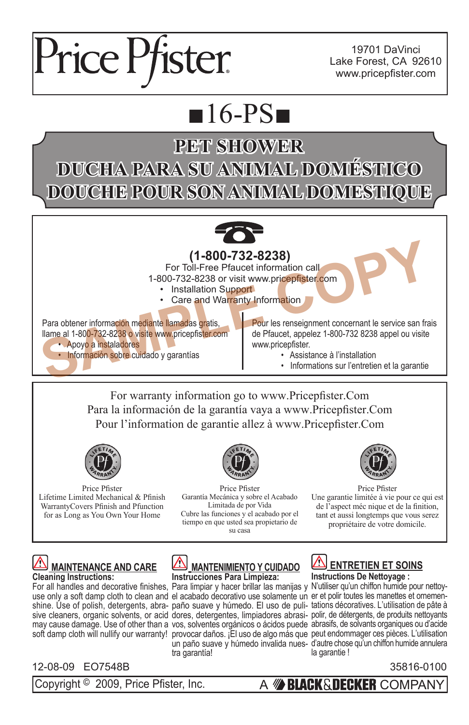

19701 DaVinci Lake Forest, CA 92610 www.pricepfister.com

## $16-PS$

## **PET SHOWER DUCHA PARA SU ANIMAL DOMÉSTICO DOUCHE POUR SON ANIMAL DOMESTIQUE**



## **(1-800-732-8238)**

For Toll-Free Pfaucet information call 1-800-732-8238 or visit www.pricepfister.com

- Installation Support
- Care and Warranty Information

Para obtener información mediante llamadas gratis, llame al 1-800-732-8238 o visite www.pricepfister.com • Apoyo a instaladores • Información sobre cuidado y garantías **EXERCISE AND SERVE AND SERVE AND SERVE AND SERVE AND SERVE AND SUPPORT OF TOLL-Free Pfaucet information call<br>
1-800-732-8238 or visit learned Support<br>
Para obtener information mediante llamadas gratis,<br>
Ilame al 1-800-732** 

Ĩ Pour les renseignment concernant le service san frais de Pfaucet, appelez 1-800-732 8238 appel ou visite www.pricepfister.

- Assistance à l'installation
	- Informations sur l'entretien et la garantie

For warranty information go to www.Pricepfister.Com Para la información de la garantía vaya a www.Pricepfister.Com Pour l'information de garantie allez à www.Pricepfister.Com



Price Pfister Lifetime Limited Mechanical & Pfinish WarrantyCovers Pfinish and Pfunction for as Long as You Own Your Home



Price Pfister Garantía Mecánica y sobre el Acabado Limitada de por Vida Cubre las funciones y el acabado por el tiempo en que usted sea propietario de su casa



Price Pfister Une garantie limitée à vie pour ce qui est de l'aspect méc nique et de la finition, tant et aussi longtemps que vous serez propriétaire de votre domicile.



## 12-08-09 EO7548B 35816-0100

**MANTENIMIENTO Y CUIDADO Instrucciones Para Limpieza:**

For all handles and decorative finishes, Para limpiar y hacer brillar las manijas y N'utiliser qu'un chiffon humide pour nettoyuse only a soft damp cloth to clean and el acabado decorativo use solamente un er et polir toutes les manettes et ornementra garantía!

**ENTRETIEN ET SOINS Instructions De Nettoyage :**

shine. Use of polish, detergents, abra-paño suave y húmedo. El uso de puli-tations décoratives. L'utilisation de pâte à sive cleaners, organic solvents, or acid dores, detergentes, limpiadores abrasi- polir, de détergents, de produits nettoyants may cause damage. Use of other than a vos, solventes orgánicos o ácidos puede abrasifs, de solvants organiques ou d'acide soft damp cloth will nullify our warranty! provocar daños. ¡El uso de algo más que peut endommager ces pièces. L'utilisation un paño suave y húmedo invalida nues-d'autre chose qu'un chiffon humide annulera la garantie !

Copyright © 2009, Price Pfister, Inc. <br>A **BLACK & DECKER** COMPANY